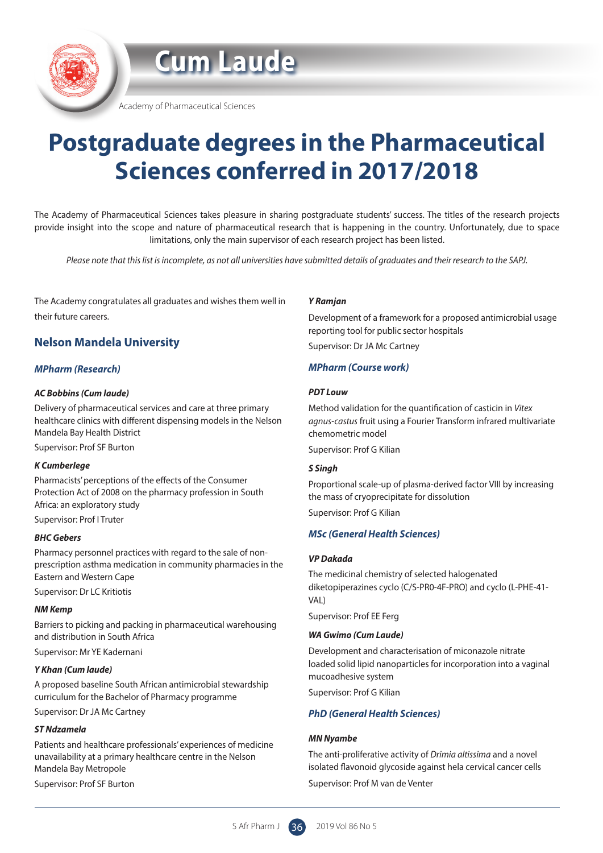**Cum Laude**

Academy of Pharmaceutical Sciences

# **Postgraduate degrees in the Pharmaceutical Sciences conferred in 2017/2018**

The Academy of Pharmaceutical Sciences takes pleasure in sharing postgraduate students' success. The titles of the research projects provide insight into the scope and nature of pharmaceutical research that is happening in the country. Unfortunately, due to space limitations, only the main supervisor of each research project has been listed.

*Please note that this list is incomplete, as not all universities have submitted details of graduates and their research to the SAPJ.*

The Academy congratulates all graduates and wishes them well in their future careers.

## **Nelson Mandela University**

## *MPharm (Research)*

#### *AC Bobbins (Cum laude)*

Delivery of pharmaceutical services and care at three primary healthcare clinics with different dispensing models in the Nelson Mandela Bay Health District

Supervisor: Prof SF Burton

#### *K Cumberlege*

Pharmacists' perceptions of the effects of the Consumer Protection Act of 2008 on the pharmacy profession in South Africa: an exploratory study

Supervisor: Prof I Truter

#### *BHC Gebers*

Pharmacy personnel practices with regard to the sale of nonprescription asthma medication in community pharmacies in the Eastern and Western Cape Supervisor: Dr LC Kritiotis

#### *NM Kemp*

Barriers to picking and packing in pharmaceutical warehousing and distribution in South Africa Supervisor: Mr YE Kadernani

#### *Y Khan (Cum laude)*

A proposed baseline South African antimicrobial stewardship curriculum for the Bachelor of Pharmacy programme Supervisor: Dr JA Mc Cartney

#### *ST Ndzamela*

Patients and healthcare professionals' experiences of medicine unavailability at a primary healthcare centre in the Nelson Mandela Bay Metropole Supervisor: Prof SF Burton

*Y Ramjan*

Development of a framework for a proposed antimicrobial usage reporting tool for public sector hospitals Supervisor: Dr JA Mc Cartney

#### *MPharm (Course work)*

#### *PDT Louw*

Method validation for the quantification of casticin in *Vitex agnus-castus* fruit using a Fourier Transform infrared multivariate chemometric model Supervisor: Prof G Kilian

#### *S Singh*

Proportional scale-up of plasma-derived factor VIII by increasing the mass of cryoprecipitate for dissolution Supervisor: Prof G Kilian

#### *MSc (General Health Sciences)*

#### *VP Dakada*

The medicinal chemistry of selected halogenated diketopiperazines cyclo (C/S-PR0-4F-PRO) and cyclo (L-PHE-41- VAL)

Supervisor: Prof EE Ferg

#### *WA Gwimo (Cum Laude)*

Development and characterisation of miconazole nitrate loaded solid lipid nanoparticles for incorporation into a vaginal mucoadhesive system

Supervisor: Prof G Kilian

#### *PhD (General Health Sciences)*

#### *MN Nyambe*

The anti-proliferative activity of *Drimia altissima* and a novel isolated flavonoid glycoside against hela cervical cancer cells

Supervisor: Prof M van de Venter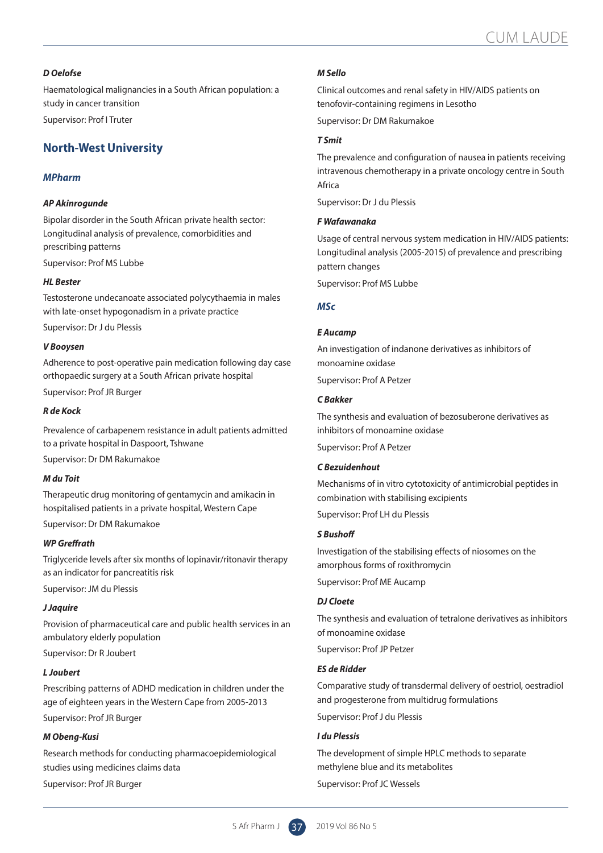#### *D Oelofse*

Haematological malignancies in a South African population: a study in cancer transition Supervisor: Prof I Truter

## **North-West University**

#### *MPharm*

#### *AP Akinrogunde*

Bipolar disorder in the South African private health sector: Longitudinal analysis of prevalence, comorbidities and prescribing patterns

Supervisor: Prof MS Lubbe

#### *HL Bester*

Testosterone undecanoate associated polycythaemia in males with late-onset hypogonadism in a private practice

Supervisor: Dr J du Plessis

#### *V Booysen*

Adherence to post-operative pain medication following day case orthopaedic surgery at a South African private hospital

Supervisor: Prof JR Burger

#### *R de Kock*

Prevalence of carbapenem resistance in adult patients admitted to a private hospital in Daspoort, Tshwane

Supervisor: Dr DM Rakumakoe

#### *M du Toit*

Therapeutic drug monitoring of gentamycin and amikacin in hospitalised patients in a private hospital, Western Cape

Supervisor: Dr DM Rakumakoe

#### *WP Greffrath*

Triglyceride levels after six months of lopinavir/ritonavir therapy as an indicator for pancreatitis risk

Supervisor: JM du Plessis

#### *J Jaquire*

Provision of pharmaceutical care and public health services in an ambulatory elderly population

Supervisor: Dr R Joubert

#### *L Joubert*

Prescribing patterns of ADHD medication in children under the age of eighteen years in the Western Cape from 2005-2013

Supervisor: Prof JR Burger

#### *M Obeng-Kusi*

Research methods for conducting pharmacoepidemiological studies using medicines claims data

Supervisor: Prof JR Burger

#### *M Sello*

Clinical outcomes and renal safety in HIV/AIDS patients on tenofovir-containing regimens in Lesotho Supervisor: Dr DM Rakumakoe

## *T Smit*

The prevalence and configuration of nausea in patients receiving intravenous chemotherapy in a private oncology centre in South Africa

Supervisor: Dr J du Plessis

#### *F Wafawanaka*

Usage of central nervous system medication in HIV/AIDS patients: Longitudinal analysis (2005-2015) of prevalence and prescribing pattern changes

Supervisor: Prof MS Lubbe

#### *MSc*

#### *E Aucamp*

An investigation of indanone derivatives as inhibitors of monoamine oxidase

Supervisor: Prof A Petzer

#### *C Bakker*

The synthesis and evaluation of bezosuberone derivatives as inhibitors of monoamine oxidase

Supervisor: Prof A Petzer

#### *C Bezuidenhout*

Mechanisms of in vitro cytotoxicity of antimicrobial peptides in combination with stabilising excipients

Supervisor: Prof LH du Plessis

#### *S Bushoff*

Investigation of the stabilising effects of niosomes on the amorphous forms of roxithromycin Supervisor: Prof ME Aucamp

#### *DJ Cloete*

The synthesis and evaluation of tetralone derivatives as inhibitors of monoamine oxidase

Supervisor: Prof JP Petzer

#### *ES de Ridder*

Comparative study of transdermal delivery of oestriol, oestradiol and progesterone from multidrug formulations

Supervisor: Prof J du Plessis

#### *I du Plessis*

The development of simple HPLC methods to separate methylene blue and its metabolites Supervisor: Prof JC Wessels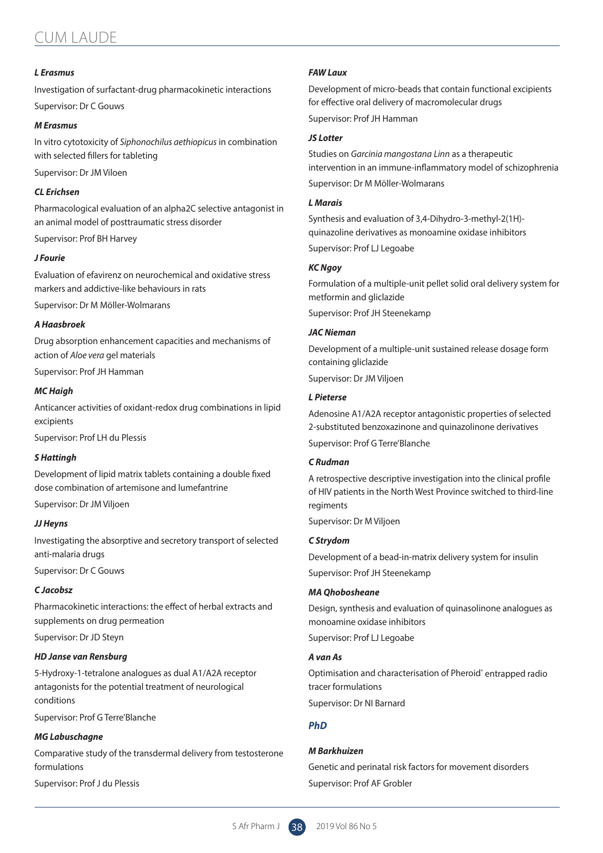## CUM LAUDE

#### *L Erasmus*

Investigation of surfactant-drug pharmacokinetic interactions Supervisor: Dr C Gouws

#### *M Erasmus*

In vitro cytotoxicity of *Siphonochilus aethiopicus* in combination with selected fillers for tableting

Supervisor: Dr JM Viloen

#### *CL Erichsen*

Pharmacological evaluation of an alpha2C selective antagonist in an animal model of posttraumatic stress disorder

Supervisor: Prof BH Harvey

#### *J Fourie*

Evaluation of efavirenz on neurochemical and oxidative stress markers and addictive-like behaviours in rats

Supervisor: Dr M Möller-Wolmarans

#### *A Haasbroek*

Drug absorption enhancement capacities and mechanisms of action of *Aloe vera* gel materials

Supervisor: Prof JH Hamman

#### *MC Haigh*

Anticancer activities of oxidant-redox drug combinations in lipid excipients

Supervisor: Prof LH du Plessis

#### *S Hattingh*

Development of lipid matrix tablets containing a double fixed dose combination of artemisone and lumefantrine

Supervisor: Dr JM Viljoen

#### *JJ Heyns*

Investigating the absorptive and secretory transport of selected anti-malaria drugs

Supervisor: Dr C Gouws

#### *C Jacobsz*

Pharmacokinetic interactions: the effect of herbal extracts and supplements on drug permeation

Supervisor: Dr JD Steyn

#### *HD Janse van Rensburg*

5-Hydroxy-1-tetralone analogues as dual A1/A2A receptor antagonists for the potential treatment of neurological conditions

Supervisor: Prof G Terre'Blanche

#### *MG Labuschagne*

Comparative study of the transdermal delivery from testosterone formulations

Supervisor: Prof J du Plessis

#### *FAW Laux*

Development of micro-beads that contain functional excipients for effective oral delivery of macromolecular drugs

Supervisor: Prof JH Hamman

#### *JS Lotter*

Studies on *Garcinia mangostana Linn* as a therapeutic intervention in an immune-inflammatory model of schizophrenia Supervisor: Dr M Möller-Wolmarans

#### *L Marais*

Synthesis and evaluation of 3,4-Dihydro-3-methyl-2(1H) quinazoline derivatives as monoamine oxidase inhibitors Supervisor: Prof LJ Legoabe

#### *KC Ngoy*

Formulation of a multiple-unit pellet solid oral delivery system for metformin and gliclazide

Supervisor: Prof JH Steenekamp

#### *JAC Nieman*

Development of a multiple-unit sustained release dosage form containing gliclazide Supervisor: Dr JM Viljoen

#### *L Pieterse*

Adenosine A1/A2A receptor antagonistic properties of selected 2-substituted benzoxazinone and quinazolinone derivatives Supervisor: Prof G Terre'Blanche

#### *C Rudman*

A retrospective descriptive investigation into the clinical profile of HIV patients in the North West Province switched to third-line regiments

Supervisor: Dr M Viljoen

#### *C Strydom*

Development of a bead-in-matrix delivery system for insulin Supervisor: Prof JH Steenekamp

#### *MA Qhobosheane*

Design, synthesis and evaluation of quinasolinone analogues as monoamine oxidase inhibitors Supervisor: Prof LJ Legoabe

#### *A van As*

Optimisation and characterisation of Pheroid® entrapped radio tracer formulations

Supervisor: Dr NI Barnard

#### *PhD*

#### *M Barkhuizen*

Genetic and perinatal risk factors for movement disorders Supervisor: Prof AF Grobler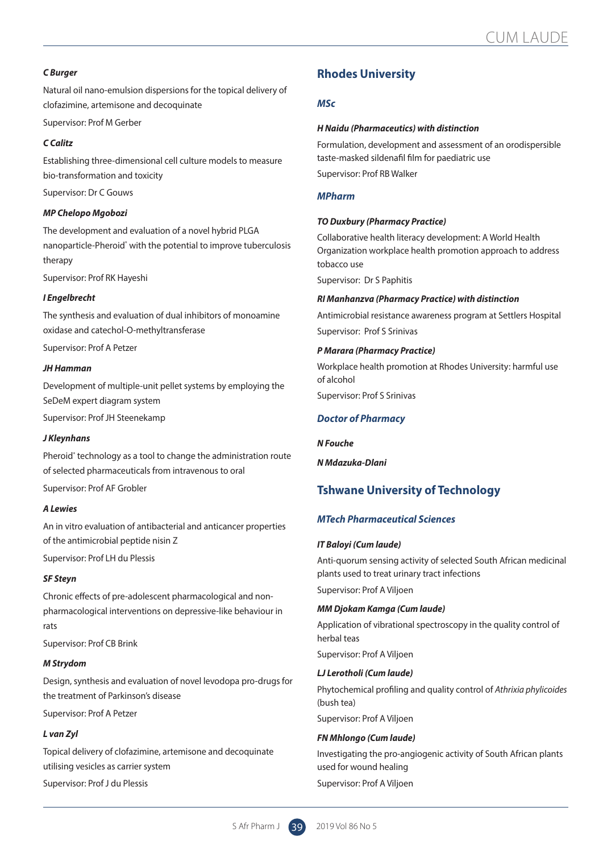#### *C Burger*

Natural oil nano-emulsion dispersions for the topical delivery of clofazimine, artemisone and decoquinate

Supervisor: Prof M Gerber

#### *C Calitz*

Establishing three-dimensional cell culture models to measure bio-transformation and toxicity

Supervisor: Dr C Gouws

#### *MP Chelopo Mgobozi*

The development and evaluation of a novel hybrid PLGA nanoparticle-Pheroid<sup>®</sup> with the potential to improve tuberculosis therapy

Supervisor: Prof RK Hayeshi

#### *I Engelbrecht*

The synthesis and evaluation of dual inhibitors of monoamine oxidase and catechol-O-methyltransferase

Supervisor: Prof A Petzer

#### *JH Hamman*

Development of multiple-unit pellet systems by employing the SeDeM expert diagram system

Supervisor: Prof JH Steenekamp

#### *J Kleynhans*

Pheroid<sup>®</sup> technology as a tool to change the administration route of selected pharmaceuticals from intravenous to oral

Supervisor: Prof AF Grobler

#### *A Lewies*

An in vitro evaluation of antibacterial and anticancer properties of the antimicrobial peptide nisin Z

Supervisor: Prof LH du Plessis

#### *SF Steyn*

Chronic effects of pre-adolescent pharmacological and nonpharmacological interventions on depressive-like behaviour in rats

Supervisor: Prof CB Brink

#### *M Strydom*

Design, synthesis and evaluation of novel levodopa pro-drugs for the treatment of Parkinson's disease

Supervisor: Prof A Petzer

#### *L van Zyl*

Topical delivery of clofazimine, artemisone and decoquinate utilising vesicles as carrier system

Supervisor: Prof J du Plessis

## **Rhodes University**

#### *MSc*

#### *H Naidu (Pharmaceutics) with distinction*

Formulation, development and assessment of an orodispersible taste-masked sildenafil film for paediatric use Supervisor: Prof RB Walker

#### *MPharm*

#### *TO Duxbury (Pharmacy Practice)*

Collaborative health literacy development: A World Health Organization workplace health promotion approach to address tobacco use

Supervisor: Dr S Paphitis

#### *RI Manhanzva (Pharmacy Practice) with distinction*

Antimicrobial resistance awareness program at Settlers Hospital Supervisor: Prof S Srinivas

#### *P Marara (Pharmacy Practice)*

Workplace health promotion at Rhodes University: harmful use of alcohol

Supervisor: Prof S Srinivas

#### *Doctor of Pharmacy*

*N Fouche*

*N Mdazuka-Dlani*

## **Tshwane University of Technology**

#### *MTech Pharmaceutical Sciences*

#### *IT Baloyi (Cum laude)*

Anti-quorum sensing activity of selected South African medicinal plants used to treat urinary tract infections Supervisor: Prof A Viljoen

#### *MM Djokam Kamga (Cum laude)*

Application of vibrational spectroscopy in the quality control of herbal teas Supervisor: Prof A Viljoen

#### *LJ Lerotholi (Cum laude)*

Phytochemical profiling and quality control of *Athrixia phylicoides* (bush tea)

Supervisor: Prof A Viljoen

#### *FN Mhlongo (Cum laude)*

Investigating the pro-angiogenic activity of South African plants used for wound healing

Supervisor: Prof A Viljoen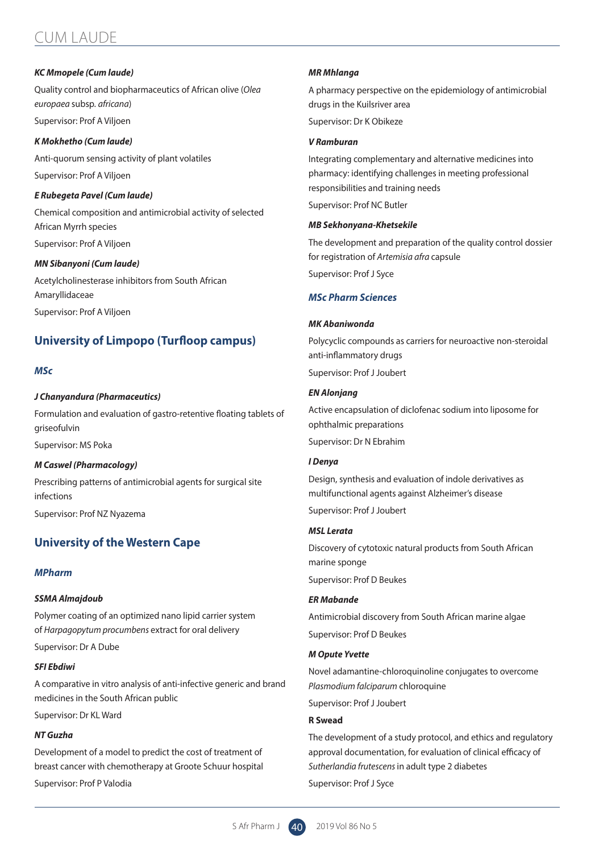## CUM LAUDE

#### *KC Mmopele (Cum laude)*

Quality control and biopharmaceutics of African olive (*Olea europaea* subsp*. africana*) Supervisor: Prof A Viljoen

*K Mokhetho (Cum laude)* Anti-quorum sensing activity of plant volatiles

Supervisor: Prof A Viljoen

#### *E Rubegeta Pavel (Cum laude)*

Chemical composition and antimicrobial activity of selected African Myrrh species Supervisor: Prof A Viljoen

#### *MN Sibanyoni (Cum laude)*

Acetylcholinesterase inhibitors from South African Amaryllidaceae Supervisor: Prof A Viljoen

## **University of Limpopo (Turfloop campus)**

#### *MSc*

#### *J Chanyandura (Pharmaceutics)*

Formulation and evaluation of gastro-retentive floating tablets of griseofulvin Supervisor: MS Poka

#### *M Caswel (Pharmacology)*

Prescribing patterns of antimicrobial agents for surgical site infections Supervisor: Prof NZ Nyazema

## **University of the Western Cape**

#### *MPharm*

#### *SSMA Almajdoub*

Polymer coating of an optimized nano lipid carrier system of *Harpagopytum procumbens* extract for oral delivery

Supervisor: Dr A Dube

#### *SFI Ebdiwi*

A comparative in vitro analysis of anti-infective generic and brand medicines in the South African public

Supervisor: Dr KL Ward

#### *NT Guzha*

Development of a model to predict the cost of treatment of breast cancer with chemotherapy at Groote Schuur hospital

Supervisor: Prof P Valodia

#### *MR Mhlanga*

A pharmacy perspective on the epidemiology of antimicrobial drugs in the Kuilsriver area

Supervisor: Dr K Obikeze

#### *V Ramburan*

Integrating complementary and alternative medicines into pharmacy: identifying challenges in meeting professional responsibilities and training needs Supervisor: Prof NC Butler

#### *MB Sekhonyana-Khetsekile*

The development and preparation of the quality control dossier for registration of *Artemisia afra* capsule Supervisor: Prof J Syce

#### *MSc Pharm Sciences*

#### *MK Abaniwonda*

Polycyclic compounds as carriers for neuroactive non-steroidal anti-inflammatory drugs Supervisor: Prof J Joubert

#### *EN Alonjang*

Active encapsulation of diclofenac sodium into liposome for ophthalmic preparations

Supervisor: Dr N Ebrahim

## *I Denya*

Design, synthesis and evaluation of indole derivatives as multifunctional agents against Alzheimer's disease

Supervisor: Prof J Joubert

#### *MSL Lerata*

Discovery of cytotoxic natural products from South African marine sponge Supervisor: Prof D Beukes

#### *ER Mabande*

Antimicrobial discovery from South African marine algae Supervisor: Prof D Beukes

#### *M Opute Yvette*

Novel adamantine-chloroquinoline conjugates to overcome *Plasmodium falciparum* chloroquine

Supervisor: Prof J Joubert

#### **R Swead**

The development of a study protocol, and ethics and regulatory approval documentation, for evaluation of clinical efficacy of *Sutherlandia frutescens* in adult type 2 diabetes

Supervisor: Prof J Syce